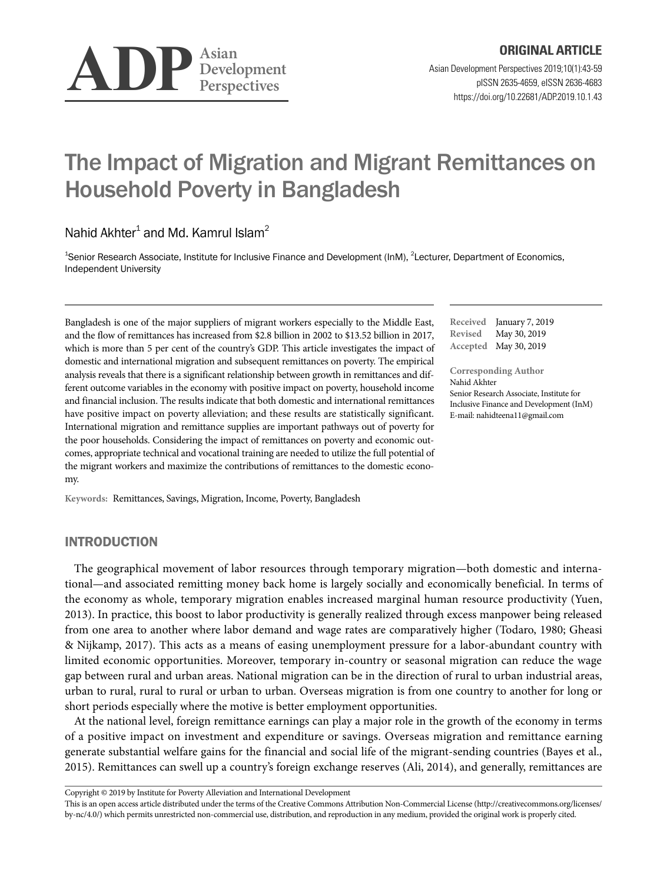

# The Impact of Migration and Migrant Remittances on Household Poverty in Bangladesh

Nahid Akhter $^1$  and Md. Kamrul Islam<sup>2</sup>

<sup>1</sup>Senior Research Associate, Institute for Inclusive Finance and Development (InM), <sup>2</sup>Lecturer, Department of Economics, Independent University

Bangladesh is one of the major suppliers of migrant workers especially to the Middle East, and the flow of remittances has increased from \$2.8 billion in 2002 to \$13.52 billion in 2017, which is more than 5 per cent of the country's GDP. This article investigates the impact of domestic and international migration and subsequent remittances on poverty. The empirical analysis reveals that there is a significant relationship between growth in remittances and different outcome variables in the economy with positive impact on poverty, household income and financial inclusion. The results indicate that both domestic and international remittances have positive impact on poverty alleviation; and these results are statistically significant. International migration and remittance supplies are important pathways out of poverty for the poor households. Considering the impact of remittances on poverty and economic outcomes, appropriate technical and vocational training are needed to utilize the full potential of the migrant workers and maximize the contributions of remittances to the domestic economy.

**Keywords:** Remittances, Savings, Migration, Income, Poverty, Bangladesh

INTRODUCTION

The geographical movement of labor resources through temporary migration—both domestic and international—and associated remitting money back home is largely socially and economically beneficial. In terms of the economy as whole, temporary migration enables increased marginal human resource productivity (Yuen, 2013). In practice, this boost to labor productivity is generally realized through excess manpower being released from one area to another where labor demand and wage rates are comparatively higher (Todaro, 1980; Gheasi & Nijkamp, 2017). This acts as a means of easing unemployment pressure for a labor-abundant country with limited economic opportunities. Moreover, temporary in-country or seasonal migration can reduce the wage gap between rural and urban areas. National migration can be in the direction of rural to urban industrial areas, urban to rural, rural to rural or urban to urban. Overseas migration is from one country to another for long or short periods especially where the motive is better employment opportunities.

At the national level, foreign remittance earnings can play a major role in the growth of the economy in terms of a positive impact on investment and expenditure or savings. Overseas migration and remittance earning generate substantial welfare gains for the financial and social life of the migrant-sending countries (Bayes et al., 2015). Remittances can swell up a country's foreign exchange reserves (Ali, 2014), and generally, remittances are

Copyright © 2019 by Institute for Poverty Alleviation and International Development

This is an open access article distributed under the terms of the Creative Commons Attribution Non-Commercial License (http://creativecommons.org/licenses/ by-nc/4.0/) which permits unrestricted non-commercial use, distribution, and reproduction in any medium, provided the original work is properly cited.

**Received** January 7, 2019 **Revised** May 30, 2019 **Accepted** May 30, 2019

**Corresponding Author** Nahid Akhter Senior Research Associate, Institute for Inclusive Finance and Development (InM) E-mail: nahidteena11@gmail.com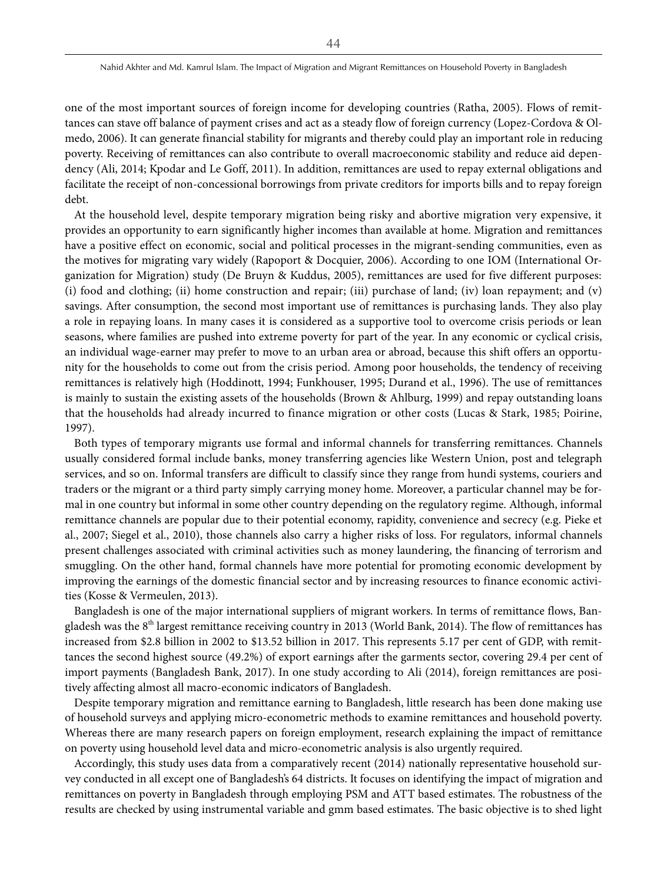one of the most important sources of foreign income for developing countries (Ratha, 2005). Flows of remittances can stave off balance of payment crises and act as a steady flow of foreign currency (Lopez-Cordova & Olmedo, 2006). It can generate financial stability for migrants and thereby could play an important role in reducing poverty. Receiving of remittances can also contribute to overall macroeconomic stability and reduce aid dependency (Ali, 2014; Kpodar and Le Goff, 2011). In addition, remittances are used to repay external obligations and facilitate the receipt of non-concessional borrowings from private creditors for imports bills and to repay foreign debt.

At the household level, despite temporary migration being risky and abortive migration very expensive, it provides an opportunity to earn significantly higher incomes than available at home. Migration and remittances have a positive effect on economic, social and political processes in the migrant-sending communities, even as the motives for migrating vary widely (Rapoport & Docquier, 2006). According to one IOM (International Organization for Migration) study (De Bruyn & Kuddus, 2005), remittances are used for five different purposes: (i) food and clothing; (ii) home construction and repair; (iii) purchase of land; (iv) loan repayment; and (v) savings. After consumption, the second most important use of remittances is purchasing lands. They also play a role in repaying loans. In many cases it is considered as a supportive tool to overcome crisis periods or lean seasons, where families are pushed into extreme poverty for part of the year. In any economic or cyclical crisis, an individual wage-earner may prefer to move to an urban area or abroad, because this shift offers an opportunity for the households to come out from the crisis period. Among poor households, the tendency of receiving remittances is relatively high (Hoddinott, 1994; Funkhouser, 1995; Durand et al., 1996). The use of remittances is mainly to sustain the existing assets of the households (Brown & Ahlburg, 1999) and repay outstanding loans that the households had already incurred to finance migration or other costs (Lucas & Stark, 1985; Poirine, 1997).

Both types of temporary migrants use formal and informal channels for transferring remittances. Channels usually considered formal include banks, money transferring agencies like Western Union, post and telegraph services, and so on. Informal transfers are difficult to classify since they range from hundi systems, couriers and traders or the migrant or a third party simply carrying money home. Moreover, a particular channel may be formal in one country but informal in some other country depending on the regulatory regime. Although, informal remittance channels are popular due to their potential economy, rapidity, convenience and secrecy (e.g. Pieke et al., 2007; Siegel et al., 2010), those channels also carry a higher risks of loss. For regulators, informal channels present challenges associated with criminal activities such as money laundering, the financing of terrorism and smuggling. On the other hand, formal channels have more potential for promoting economic development by improving the earnings of the domestic financial sector and by increasing resources to finance economic activities (Kosse & Vermeulen, 2013).

Bangladesh is one of the major international suppliers of migrant workers. In terms of remittance flows, Bangladesh was the  $8<sup>th</sup>$  largest remittance receiving country in 2013 (World Bank, 2014). The flow of remittances has increased from \$2.8 billion in 2002 to \$13.52 billion in 2017. This represents 5.17 per cent of GDP, with remittances the second highest source (49.2%) of export earnings after the garments sector, covering 29.4 per cent of import payments (Bangladesh Bank, 2017). In one study according to Ali (2014), foreign remittances are positively affecting almost all macro-economic indicators of Bangladesh.

Despite temporary migration and remittance earning to Bangladesh, little research has been done making use of household surveys and applying micro-econometric methods to examine remittances and household poverty. Whereas there are many research papers on foreign employment, research explaining the impact of remittance on poverty using household level data and micro-econometric analysis is also urgently required.

Accordingly, this study uses data from a comparatively recent (2014) nationally representative household survey conducted in all except one of Bangladesh's 64 districts. It focuses on identifying the impact of migration and remittances on poverty in Bangladesh through employing PSM and ATT based estimates. The robustness of the results are checked by using instrumental variable and gmm based estimates. The basic objective is to shed light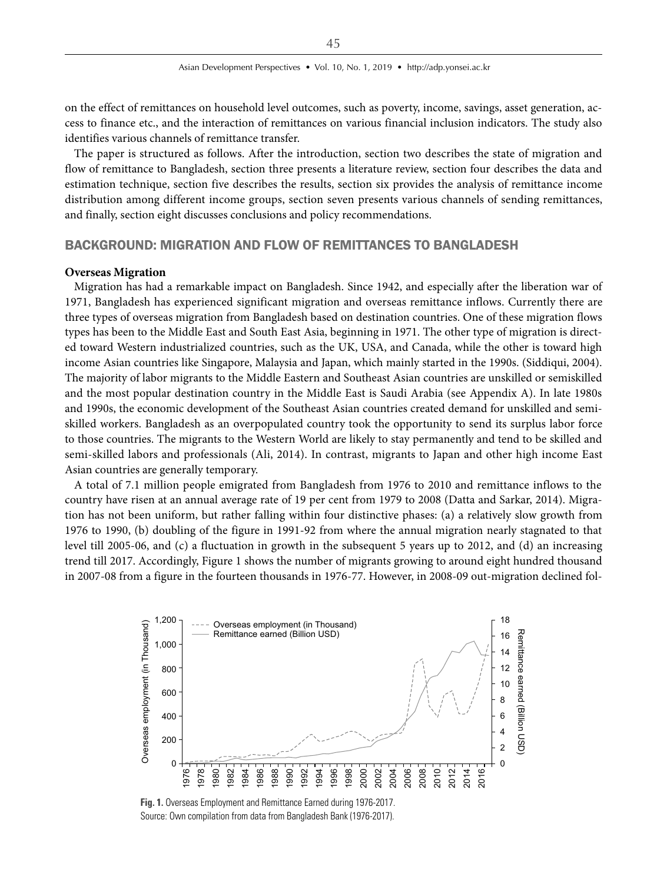on the effect of remittances on household level outcomes, such as poverty, income, savings, asset generation, access to finance etc., and the interaction of remittances on various financial inclusion indicators. The study also identifies various channels of remittance transfer.

The paper is structured as follows. After the introduction, section two describes the state of migration and flow of remittance to Bangladesh, section three presents a literature review, section four describes the data and estimation technique, section five describes the results, section six provides the analysis of remittance income distribution among different income groups, section seven presents various channels of sending remittances, and finally, section eight discusses conclusions and policy recommendations.

## BACKGROUND: MIGRATION AND FLOW OF REMITTANCES TO BANGLADESH

#### **Overseas Migration**

Migration has had a remarkable impact on Bangladesh. Since 1942, and especially after the liberation war of 1971, Bangladesh has experienced significant migration and overseas remittance inflows. Currently there are three types of overseas migration from Bangladesh based on destination countries. One of these migration flows types has been to the Middle East and South East Asia, beginning in 1971. The other type of migration is directed toward Western industrialized countries, such as the UK, USA, and Canada, while the other is toward high income Asian countries like Singapore, Malaysia and Japan, which mainly started in the 1990s. (Siddiqui, 2004). The majority of labor migrants to the Middle Eastern and Southeast Asian countries are unskilled or semiskilled and the most popular destination country in the Middle East is Saudi Arabia (see Appendix A). In late 1980s and 1990s, the economic development of the Southeast Asian countries created demand for unskilled and semiskilled workers. Bangladesh as an overpopulated country took the opportunity to send its surplus labor force to those countries. The migrants to the Western World are likely to stay permanently and tend to be skilled and semi-skilled labors and professionals (Ali, 2014). In contrast, migrants to Japan and other high income East Asian countries are generally temporary.

A total of 7.1 million people emigrated from Bangladesh from 1976 to 2010 and remittance inflows to the country have risen at an annual average rate of 19 per cent from 1979 to 2008 (Datta and Sarkar, 2014). Migration has not been uniform, but rather falling within four distinctive phases: (a) a relatively slow growth from 1976 to 1990, (b) doubling of the figure in 1991-92 from where the annual migration nearly stagnated to that level till 2005-06, and (c) a fluctuation in growth in the subsequent 5 years up to 2012, and (d) an increasing trend till 2017. Accordingly, Figure 1 shows the number of migrants growing to around eight hundred thousand in 2007-08 from a figure in the fourteen thousands in 1976-77. However, in 2008-09 out-migration declined fol-



**Fig. 1.** Overseas Employment and Remittance Earned during 1976-2017. Source: Own compilation from data from Bangladesh Bank (1976-2017).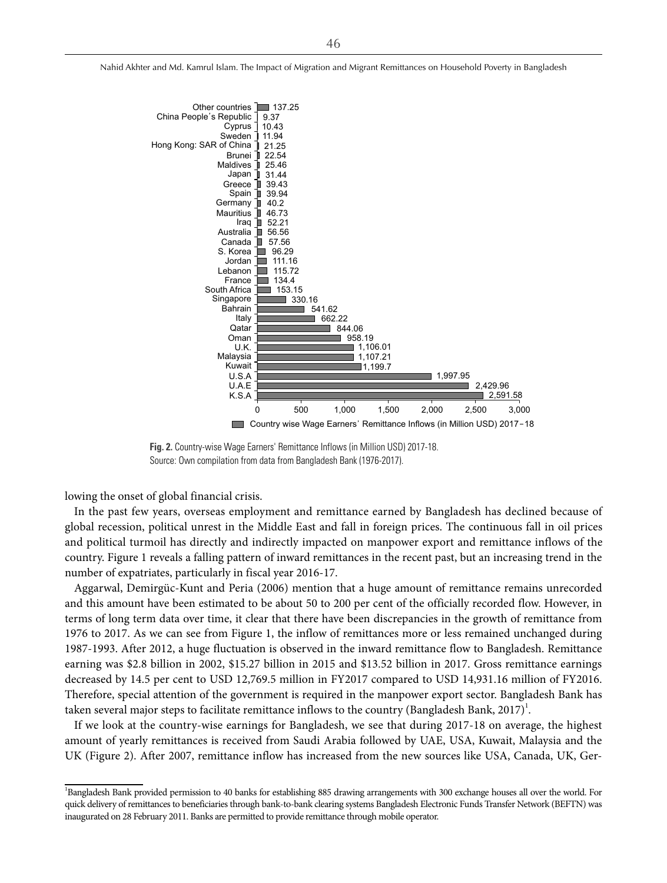

**Fig. 2.** Country-wise Wage Earners' Remittance Inflows (in Million USD) 2017-18. Source: Own compilation from data from Bangladesh Bank (1976-2017).

lowing the onset of global financial crisis.

In the past few years, overseas employment and remittance earned by Bangladesh has declined because of global recession, political unrest in the Middle East and fall in foreign prices. The continuous fall in oil prices and political turmoil has directly and indirectly impacted on manpower export and remittance inflows of the country. Figure 1 reveals a falling pattern of inward remittances in the recent past, but an increasing trend in the number of expatriates, particularly in fiscal year 2016-17.

Aggarwal, Demirgüc-Kunt and Peria (2006) mention that a huge amount of remittance remains unrecorded and this amount have been estimated to be about 50 to 200 per cent of the officially recorded flow. However, in terms of long term data over time, it clear that there have been discrepancies in the growth of remittance from 1976 to 2017. As we can see from Figure 1, the inflow of remittances more or less remained unchanged during 1987-1993. After 2012, a huge fluctuation is observed in the inward remittance flow to Bangladesh. Remittance earning was \$2.8 billion in 2002, \$15.27 billion in 2015 and \$13.52 billion in 2017. Gross remittance earnings decreased by 14.5 per cent to USD 12,769.5 million in FY2017 compared to USD 14,931.16 million of FY2016. Therefore, special attention of the government is required in the manpower export sector. Bangladesh Bank has taken several major steps to facilitate remittance inflows to the country (Bangladesh Bank, 2017) $^1$ .

If we look at the country-wise earnings for Bangladesh, we see that during 2017-18 on average, the highest amount of yearly remittances is received from Saudi Arabia followed by UAE, USA, Kuwait, Malaysia and the UK (Figure 2). After 2007, remittance inflow has increased from the new sources like USA, Canada, UK, Ger-

<sup>1</sup> Bangladesh Bank provided permission to 40 banks for establishing 885 drawing arrangements with 300 exchange houses all over the world. For quick delivery of remittances to beneficiaries through bank-to-bank clearing systems Bangladesh Electronic Funds Transfer Network (BEFTN) was inaugurated on 28 February 2011. Banks are permitted to provide remittance through mobile operator.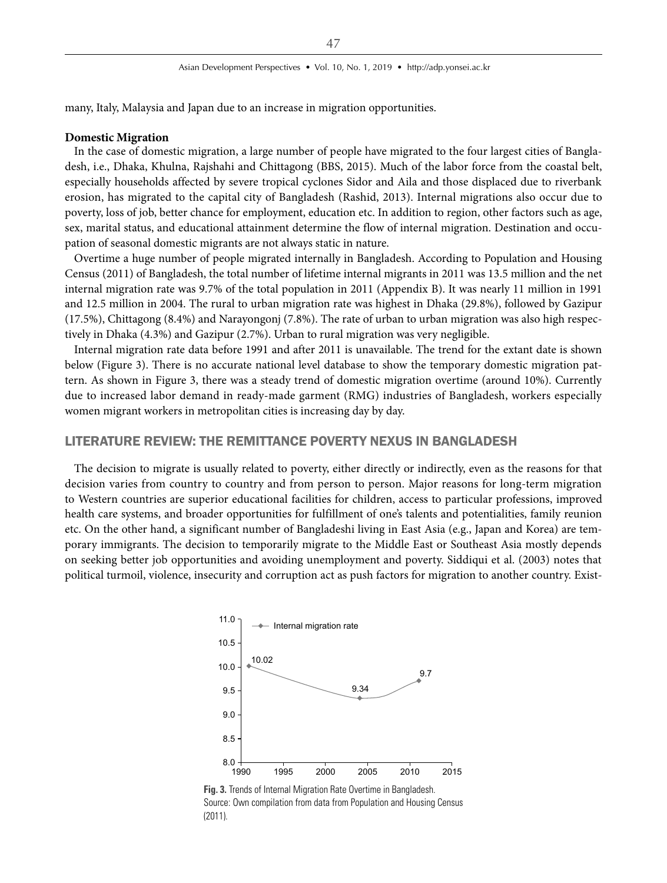many, Italy, Malaysia and Japan due to an increase in migration opportunities.

#### **Domestic Migration**

In the case of domestic migration, a large number of people have migrated to the four largest cities of Bangladesh, i.e., Dhaka, Khulna, Rajshahi and Chittagong (BBS, 2015). Much of the labor force from the coastal belt, especially households affected by severe tropical cyclones Sidor and Aila and those displaced due to riverbank erosion, has migrated to the capital city of Bangladesh (Rashid, 2013). Internal migrations also occur due to poverty, loss of job, better chance for employment, education etc. In addition to region, other factors such as age, sex, marital status, and educational attainment determine the flow of internal migration. Destination and occupation of seasonal domestic migrants are not always static in nature.

Overtime a huge number of people migrated internally in Bangladesh. According to Population and Housing Census (2011) of Bangladesh, the total number of lifetime internal migrants in 2011 was 13.5 million and the net internal migration rate was 9.7% of the total population in 2011 (Appendix B). It was nearly 11 million in 1991 and 12.5 million in 2004. The rural to urban migration rate was highest in Dhaka (29.8%), followed by Gazipur (17.5%), Chittagong (8.4%) and Narayongonj (7.8%). The rate of urban to urban migration was also high respectively in Dhaka (4.3%) and Gazipur (2.7%). Urban to rural migration was very negligible.

Internal migration rate data before 1991 and after 2011 is unavailable. The trend for the extant date is shown below (Figure 3). There is no accurate national level database to show the temporary domestic migration pattern. As shown in Figure 3, there was a steady trend of domestic migration overtime (around 10%). Currently due to increased labor demand in ready-made garment (RMG) industries of Bangladesh, workers especially women migrant workers in metropolitan cities is increasing day by day.

## LITERATURE REVIEW: THE REMITTANCE POVERTY NEXUS IN BANGLADESH

The decision to migrate is usually related to poverty, either directly or indirectly, even as the reasons for that decision varies from country to country and from person to person. Major reasons for long-term migration to Western countries are superior educational facilities for children, access to particular professions, improved health care systems, and broader opportunities for fulfillment of one's talents and potentialities, family reunion etc. On the other hand, a significant number of Bangladeshi living in East Asia (e.g., Japan and Korea) are temporary immigrants. The decision to temporarily migrate to the Middle East or Southeast Asia mostly depends on seeking better job opportunities and avoiding unemployment and poverty. Siddiqui et al. (2003) notes that political turmoil, violence, insecurity and corruption act as push factors for migration to another country. Exist-



**Fig. 3.** Trends of Internal Migration Rate Overtime in Bangladesh. Source: Own compilation from data from Population and Housing Census (2011).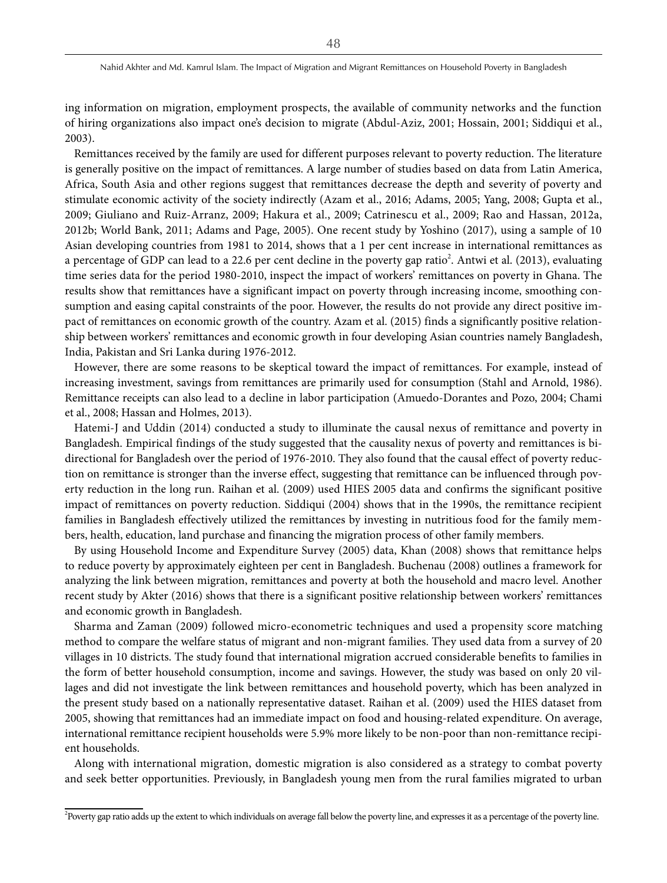ing information on migration, employment prospects, the available of community networks and the function of hiring organizations also impact one's decision to migrate (Abdul-Aziz, 2001; Hossain, 2001; Siddiqui et al., 2003).

Remittances received by the family are used for different purposes relevant to poverty reduction. The literature is generally positive on the impact of remittances. A large number of studies based on data from Latin America, Africa, South Asia and other regions suggest that remittances decrease the depth and severity of poverty and stimulate economic activity of the society indirectly (Azam et al., 2016; Adams, 2005; Yang, 2008; Gupta et al., 2009; Giuliano and Ruiz-Arranz, 2009; Hakura et al., 2009; [Catrinescu et al., 2009](l ); Rao and Hassan, 2012a, 2012b; World Bank, 2011; Adams and Page, 2005). One recent study by Yoshino (2017), using a sample of 10 Asian developing countries from 1981 to 2014, shows that a 1 per cent increase in international remittances as a percentage of GDP can lead to a 22.6 per cent decline in the poverty gap ratio<sup>2</sup>. Antwi et al. (2013), evaluating time series data for the period 1980-2010, inspect the impact of workers' remittances on poverty in Ghana. The results show that remittances have a significant impact on poverty through increasing income, smoothing consumption and easing capital constraints of the poor. However, the results do not provide any direct positive impact of remittances on economic growth of the country. Azam et al. (2015) finds a significantly positive relationship between workers' remittances and economic growth in four developing Asian countries namely Bangladesh, India, Pakistan and Sri Lanka during 1976-2012.

However, there are some reasons to be skeptical toward the impact of remittances. For example, instead of increasing investment, savings from remittances are primarily used for consumption (Stahl and Arnold, 1986). Remittance receipts can also lead to a decline in labor participation (Amuedo-Dorantes and Pozo, 2004; Chami et al., 2008; Hassan and Holmes, 2013).

Hatemi-J and Uddin (2014) conducted a study to illuminate the causal nexus of remittance and poverty in Bangladesh. Empirical findings of the study suggested that the causality nexus of poverty and remittances is bidirectional for Bangladesh over the period of 1976-2010. They also found that the causal effect of poverty reduction on remittance is stronger than the inverse effect, suggesting that remittance can be influenced through poverty reduction in the long run. Raihan et al. (2009) used HIES 2005 data and confirms the significant positive impact of remittances on poverty reduction. Siddiqui (2004) shows that in the 1990s, the remittance recipient families in Bangladesh effectively utilized the remittances by investing in nutritious food for the family members, health, education, land purchase and financing the migration process of other family members.

By using Household Income and Expenditure Survey (2005) data, Khan (2008) shows that remittance helps to reduce poverty by approximately eighteen per cent in Bangladesh. Buchenau (2008) outlines a framework for analyzing the link between migration, remittances and poverty at both the household and macro level. Another recent study by Akter (2016) shows that there is a significant positive relationship between workers' remittances and economic growth in Bangladesh.

Sharma and Zaman (2009) followed micro-econometric techniques and used a propensity score matching method to compare the welfare status of migrant and non-migrant families. They used data from a survey of 20 villages in 10 districts. The study found that international migration accrued considerable benefits to families in the form of better household consumption, income and savings. However, the study was based on only 20 villages and did not investigate the link between remittances and household poverty, which has been analyzed in the present study based on a nationally representative dataset. Raihan et al. (2009) used the HIES dataset from 2005, showing that remittances had an immediate impact on food and housing-related expenditure. On average, international remittance recipient households were 5.9% more likely to be non-poor than non-remittance recipient households.

Along with international migration, domestic migration is also considered as a strategy to combat poverty and seek better opportunities. Previously, in Bangladesh young men from the rural families migrated to urban

<sup>&</sup>lt;sup>2</sup> Poverty gap ratio adds up the extent to which individuals on average fall below the poverty line, and expresses it as a percentage of the poverty line.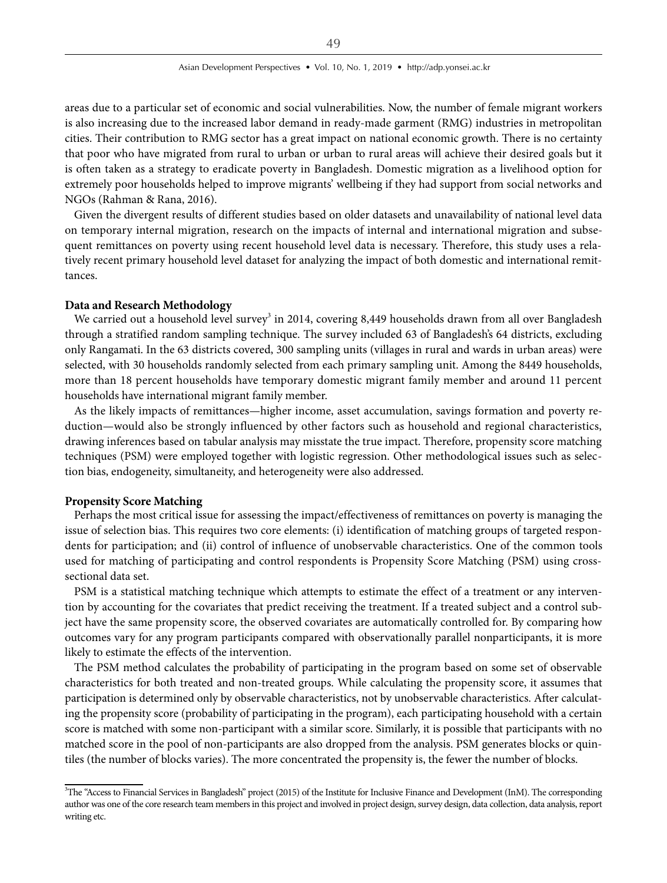areas due to a particular set of economic and social vulnerabilities. Now, the number of female migrant workers is also increasing due to the increased labor demand in ready-made garment (RMG) industries in metropolitan cities. Their contribution to RMG sector has a great impact on national economic growth. There is no certainty that poor who have migrated from rural to urban or urban to rural areas will achieve their desired goals but it is often taken as a strategy to eradicate poverty in Bangladesh. Domestic migration as a livelihood option for extremely poor households helped to improve migrants' wellbeing if they had support from social networks and NGOs (Rahman & Rana, 2016).

Given the divergent results of different studies based on older datasets and unavailability of national level data on temporary internal migration, research on the impacts of internal and international migration and subsequent remittances on poverty using recent household level data is necessary. Therefore, this study uses a relatively recent primary household level dataset for analyzing the impact of both domestic and international remittances.

#### **Data and Research Methodology**

We carried out a household level survey $^3$  in 2014, covering 8,449 households drawn from all over Bangladesh through a stratified random sampling technique. The survey included 63 of Bangladesh's 64 districts, excluding only Rangamati. In the 63 districts covered, 300 sampling units (villages in rural and wards in urban areas) were selected, with 30 households randomly selected from each primary sampling unit. Among the 8449 households, more than 18 percent households have temporary domestic migrant family member and around 11 percent households have international migrant family member.

As the likely impacts of remittances—higher income, asset accumulation, savings formation and poverty reduction—would also be strongly influenced by other factors such as household and regional characteristics, drawing inferences based on tabular analysis may misstate the true impact. Therefore, propensity score matching techniques (PSM) were employed together with logistic regression. Other methodological issues such as selection bias, endogeneity, simultaneity, and heterogeneity were also addressed.

### **Propensity Score Matching**

Perhaps the most critical issue for assessing the impact/effectiveness of remittances on poverty is managing the issue of selection bias. This requires two core elements: (i) identification of matching groups of targeted respondents for participation; and (ii) control of influence of unobservable characteristics. One of the common tools used for matching of participating and control respondents is Propensity Score Matching (PSM) using crosssectional data set.

PSM is a statistical matching technique which attempts to estimate the effect of a treatment or any intervention by accounting for the covariates that predict receiving the treatment. If a treated subject and a control subject have the same propensity score, the observed covariates are automatically controlled for. By comparing how outcomes vary for any program participants compared with observationally parallel nonparticipants, it is more likely to estimate the effects of the intervention.

The PSM method calculates the probability of participating in the program based on some set of observable characteristics for both treated and non-treated groups. While calculating the propensity score, it assumes that participation is determined only by observable characteristics, not by unobservable characteristics. After calculating the propensity score (probability of participating in the program), each participating household with a certain score is matched with some non-participant with a similar score. Similarly, it is possible that participants with no matched score in the pool of non-participants are also dropped from the analysis. PSM generates blocks or quintiles (the number of blocks varies). The more concentrated the propensity is, the fewer the number of blocks.

<sup>&</sup>lt;sup>3</sup>The "Access to Financial Services in Bangladesh" project (2015) of the Institute for Inclusive Finance and Development (InM). The corresponding author was one of the core research team members in this project and involved in project design, survey design, data collection, data analysis, report writing etc.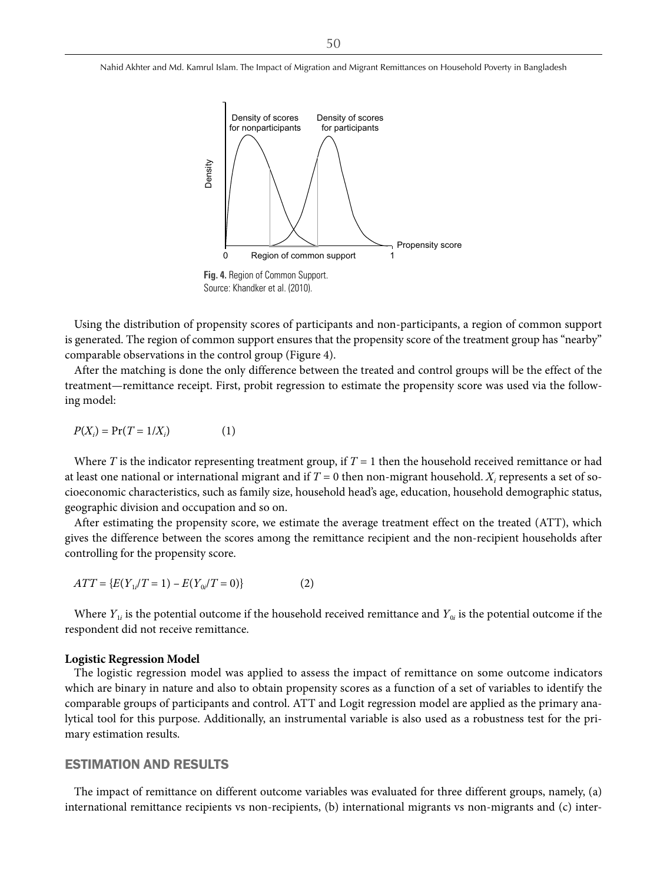

Source: Khandker et al. (2010).

Using the distribution of propensity scores of participants and non-participants, a region of common support is generated. The region of common support ensures that the propensity score of the treatment group has "nearby" comparable observations in the control group (Figure 4).

After the matching is done the only difference between the treated and control groups will be the effect of the treatment—remittance receipt. First, probit regression to estimate the propensity score was used via the following model:

$$
P(X_i) = \Pr(T = 1/X_i) \tag{1}
$$

Where T is the indicator representing treatment group, if  $T = 1$  then the household received remittance or had at least one national or international migrant and if  $T$  = 0 then non-migrant household.  $X_i$  represents a set of socioeconomic characteristics, such as family size, household head's age, education, household demographic status, geographic division and occupation and so on.

After estimating the propensity score, we estimate the average treatment effect on the treated (ATT), which gives the difference between the scores among the remittance recipient and the non-recipient households after controlling for the propensity score.

$$
ATT = \{ E(Y_{1i}/T = 1) - E(Y_{0i}/T = 0) \}
$$
 (2)

Where  $Y_{1i}$  is the potential outcome if the household received remittance and  $Y_{0i}$  is the potential outcome if the respondent did not receive remittance.

#### **Logistic Regression Model**

The logistic regression model was applied to assess the impact of remittance on some outcome indicators which are binary in nature and also to obtain propensity scores as a function of a set of variables to identify the comparable groups of participants and control. ATT and Logit regression model are applied as the primary analytical tool for this purpose. Additionally, an instrumental variable is also used as a robustness test for the primary estimation results.

## ESTIMATION AND RESULTS

The impact of remittance on different outcome variables was evaluated for three different groups, namely, (a) international remittance recipients vs non-recipients, (b) international migrants vs non-migrants and (c) inter-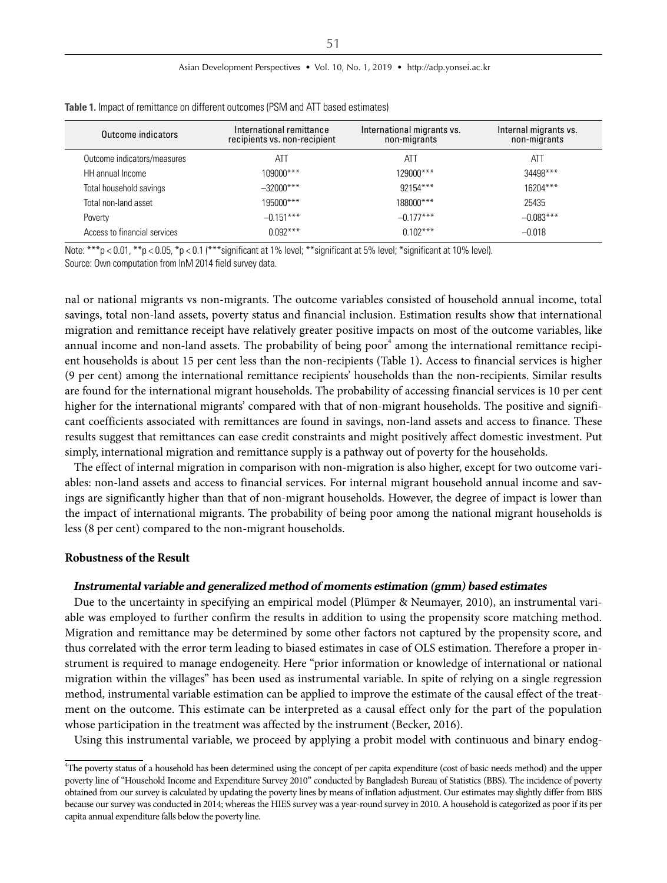#### Asian Development Perspectives • Vol. 10, No. 1, 2019 • http://adp.yonsei.ac.kr

| Outcome indicators           | International remittance<br>recipients vs. non-recipient | International migrants vs.<br>non-migrants | Internal migrants vs.<br>non-migrants |
|------------------------------|----------------------------------------------------------|--------------------------------------------|---------------------------------------|
| Outcome indicators/measures  | ATT                                                      | ATT                                        | ATT                                   |
| HH annual Income             | 109000***                                                | 129000***                                  | 34498***                              |
| Total household savings      | $-32000***$                                              | $92154***$                                 | $16204***$                            |
| Total non-land asset         | 195000***                                                | 188000***                                  | 25435                                 |
| Poverty                      | $-0.151***$                                              | $-0.177***$                                | $-0.083***$                           |
| Access to financial services | $0.092***$                                               | $0.102***$                                 | $-0.018$                              |

**Table 1.** Impact of remittance on different outcomes (PSM and ATT based estimates)

Note: \*\*\*p < 0.01, \*\*p < 0.05, \*p < 0.1 (\*\*\* significant at 1% level; \*\* significant at 5% level; \* significant at 10% level). Source: Own computation from InM 2014 field survey data.

nal or national migrants vs non-migrants. The outcome variables consisted of household annual income, total savings, total non-land assets, poverty status and financial inclusion. Estimation results show that international migration and remittance receipt have relatively greater positive impacts on most of the outcome variables, like annual income and non-land assets. The probability of being poor $^{\rm 4}$  among the international remittance recipient households is about 15 per cent less than the non-recipients (Table 1). Access to financial services is higher (9 per cent) among the international remittance recipients' households than the non-recipients. Similar results are found for the international migrant households. The probability of accessing financial services is 10 per cent higher for the international migrants' compared with that of non-migrant households. The positive and significant coefficients associated with remittances are found in savings, non-land assets and access to finance. These results suggest that remittances can ease credit constraints and might positively affect domestic investment. Put simply, international migration and remittance supply is a pathway out of poverty for the households.

The effect of internal migration in comparison with non-migration is also higher, except for two outcome variables: non-land assets and access to financial services. For internal migrant household annual income and savings are significantly higher than that of non-migrant households. However, the degree of impact is lower than the impact of international migrants. The probability of being poor among the national migrant households is less (8 per cent) compared to the non-migrant households.

#### **Robustness of the Result**

#### **Instrumental variable and generalized method of moments estimation (gmm) based estimates**

Due to the uncertainty in specifying an empirical model (Plümper & Neumayer, 2010), an instrumental variable was employed to further confirm the results in addition to using the propensity score matching method. Migration and remittance may be determined by some other factors not captured by the propensity score, and thus correlated with the error term leading to biased estimates in case of OLS estimation. Therefore a proper instrument is required to manage endogeneity. Here "prior information or knowledge of international or national migration within the villages" has been used as instrumental variable. In spite of relying on a single regression method, instrumental variable estimation can be applied to improve the estimate of the causal effect of the treatment on the outcome. This estimate can be interpreted as a causal effect only for the part of the population whose participation in the treatment was affected by the instrument (Becker, 2016).

Using this instrumental variable, we proceed by applying a probit model with continuous and binary endog-

<sup>4</sup> The poverty status of a household has been determined using the concept of per capita expenditure (cost of basic needs method) and the upper poverty line of "Household Income and Expenditure Survey 2010" conducted by Bangladesh Bureau of Statistics (BBS). The incidence of poverty obtained from our survey is calculated by updating the poverty lines by means of inflation adjustment. Our estimates may slightly differ from BBS because our survey was conducted in 2014; whereas the HIES survey was a year-round survey in 2010. A household is categorized as poor if its per capita annual expenditure falls below the poverty line.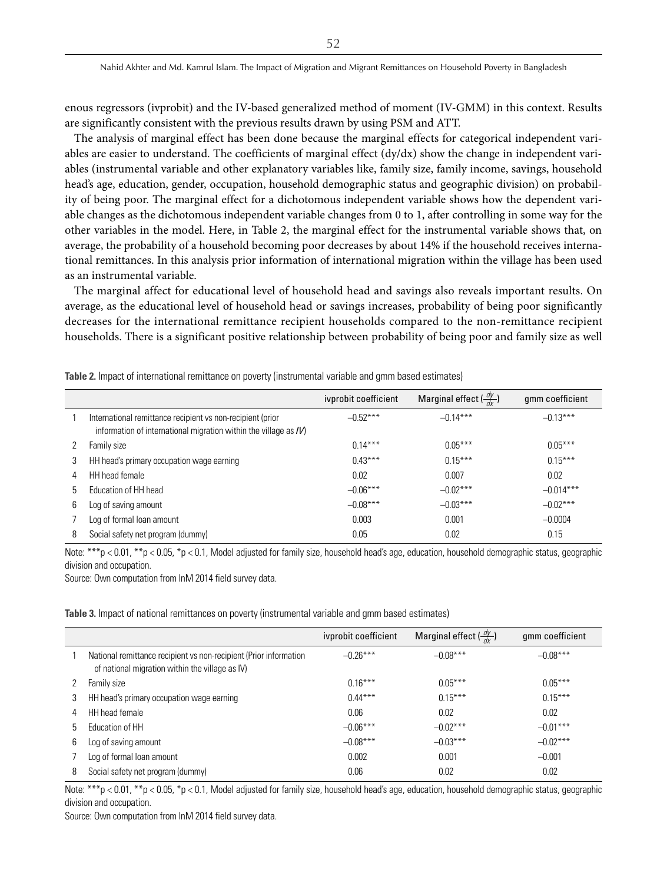enous regressors (ivprobit) and the IV-based generalized method of moment (IV-GMM) in this context. Results are significantly consistent with the previous results drawn by using PSM and ATT.

The analysis of marginal effect has been done because the marginal effects for categorical independent variables are easier to understand. The coefficients of marginal effect (dy/dx) show the change in independent variables (instrumental variable and other explanatory variables like, family size, family income, savings, household head's age, education, gender, occupation, household demographic status and geographic division) on probability of being poor. The marginal effect for a dichotomous independent variable shows how the dependent variable changes as the dichotomous independent variable changes from 0 to 1, after controlling in some way for the other variables in the model. Here, in Table 2, the marginal effect for the instrumental variable shows that, on average, the probability of a household becoming poor decreases by about 14% if the household receives international remittances. In this analysis prior information of international migration within the village has been used as an instrumental variable.

The marginal affect for educational level of household head and savings also reveals important results. On average, as the educational level of household head or savings increases, probability of being poor significantly decreases for the international remittance recipient households compared to the non-remittance recipient households. There is a significant positive relationship between probability of being poor and family size as well

|   |                                                                                                                                 | ivprobit coefficient | Marginal effect $\left(\frac{dy}{dx}\right)$ | gmm coefficient |
|---|---------------------------------------------------------------------------------------------------------------------------------|----------------------|----------------------------------------------|-----------------|
|   | International remittance recipient vs non-recipient (prior<br>information of international migration within the village as $IV$ | $-0.52***$           | $-0.14***$                                   | $-0.13***$      |
|   | Family size                                                                                                                     | $0.14***$            | $0.05***$                                    | $0.05***$       |
| 3 | HH head's primary occupation wage earning                                                                                       | $0.43***$            | $0.15***$                                    | $0.15***$       |
| 4 | HH head female                                                                                                                  | 0.02                 | 0.007                                        | 0.02            |
| 5 | Education of HH head                                                                                                            | $-0.06***$           | $-0.02***$                                   | $-0.014***$     |
| 6 | Log of saving amount                                                                                                            | $-0.08***$           | $-0.03***$                                   | $-0.02***$      |
|   | Log of formal loan amount                                                                                                       | 0.003                | 0.001                                        | $-0.0004$       |
| 8 | Social safety net program (dummy)                                                                                               | 0.05                 | 0.02                                         | 0.15            |

**Table 2.** Impact of international remittance on poverty (instrumental variable and gmm based estimates)

Note: \*\*\*p < 0.01, \*\*p < 0.05, \*p < 0.1, Model adjusted for family size, household head's age, education, household demographic status, geographic division and occupation.

Source: Own computation from InM 2014 field survey data.

**Table 3.** Impact of national remittances on poverty (instrumental variable and gmm based estimates)

|   |                                                                                                                      | ivprobit coefficient | Marginal effect $\left(\frac{dy}{dx}\right)$ | gmm coefficient |
|---|----------------------------------------------------------------------------------------------------------------------|----------------------|----------------------------------------------|-----------------|
|   | National remittance recipient vs non-recipient (Prior information<br>of national migration within the village as IV) | $-0.26***$           | $-0.08***$                                   | $-0.08***$      |
|   | Family size                                                                                                          | $0.16***$            | $0.05***$                                    | $0.05***$       |
| 3 | HH head's primary occupation wage earning                                                                            | $0.44***$            | $0.15***$                                    | $0.15***$       |
| 4 | HH head female                                                                                                       | 0.06                 | 0.02                                         | 0.02            |
| b | Education of HH                                                                                                      | $-0.06***$           | $-0.02***$                                   | $-0.01***$      |
| 6 | Log of saving amount                                                                                                 | $-0.08***$           | $-0.03***$                                   | $-0.02***$      |
|   | Log of formal loan amount                                                                                            | 0.002                | 0.001                                        | $-0.001$        |
| 8 | Social safety net program (dummy)                                                                                    | 0.06                 | 0.02                                         | 0.02            |

Note: \*\*\*p < 0.01, \*\*p < 0.05, \*p < 0.1, Model adjusted for family size, household head's age, education, household demographic status, geographic division and occupation.

Source: Own computation from InM 2014 field survey data.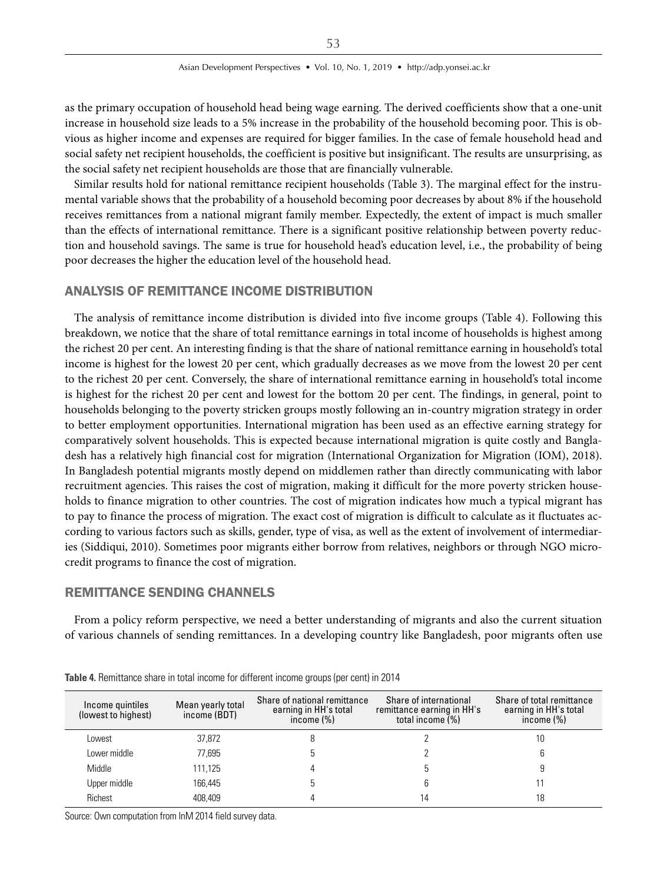as the primary occupation of household head being wage earning. The derived coefficients show that a one-unit increase in household size leads to a 5% increase in the probability of the household becoming poor. This is obvious as higher income and expenses are required for bigger families. In the case of female household head and social safety net recipient households, the coefficient is positive but insignificant. The results are unsurprising, as the social safety net recipient households are those that are financially vulnerable.

Similar results hold for national remittance recipient households (Table 3). The marginal effect for the instrumental variable shows that the probability of a household becoming poor decreases by about 8% if the household receives remittances from a national migrant family member. Expectedly, the extent of impact is much smaller than the effects of international remittance. There is a significant positive relationship between poverty reduction and household savings. The same is true for household head's education level, i.e., the probability of being poor decreases the higher the education level of the household head.

## ANALYSIS OF REMITTANCE INCOME DISTRIBUTION

The analysis of remittance income distribution is divided into five income groups (Table 4). Following this breakdown, we notice that the share of total remittance earnings in total income of households is highest among the richest 20 per cent. An interesting finding is that the share of national remittance earning in household's total income is highest for the lowest 20 per cent, which gradually decreases as we move from the lowest 20 per cent to the richest 20 per cent. Conversely, the share of international remittance earning in household's total income is highest for the richest 20 per cent and lowest for the bottom 20 per cent. The findings, in general, point to households belonging to the poverty stricken groups mostly following an in-country migration strategy in order to better employment opportunities. International migration has been used as an effective earning strategy for comparatively solvent households. This is expected because international migration is quite costly and Bangladesh has a relatively high financial cost for migration (International Organization for Migration (IOM), 2018). In Bangladesh potential migrants mostly depend on middlemen rather than directly communicating with labor recruitment agencies. This raises the cost of migration, making it difficult for the more poverty stricken households to finance migration to other countries. The cost of migration indicates how much a typical migrant has to pay to finance the process of migration. The exact cost of migration is difficult to calculate as it fluctuates according to various factors such as skills, gender, type of visa, as well as the extent of involvement of intermediaries (Siddiqui, 2010). Sometimes poor migrants either borrow from relatives, neighbors or through NGO microcredit programs to finance the cost of migration.

## REMITTANCE SENDING CHANNELS

From a policy reform perspective, we need a better understanding of migrants and also the current situation of various channels of sending remittances. In a developing country like Bangladesh, poor migrants often use

| Mean yearly total<br>Income quintiles<br>(lowest to highest)<br>income (BDT) |         | Share of national remittance<br>earning in HH's total<br>income $(\%)$ | Share of international<br>remittance earning in HH's<br>total income $(\%)$ | Share of total remittance<br>earning in HH's total<br>income $(\%)$ |  |
|------------------------------------------------------------------------------|---------|------------------------------------------------------------------------|-----------------------------------------------------------------------------|---------------------------------------------------------------------|--|
| Lowest                                                                       | 37,872  |                                                                        |                                                                             | 10                                                                  |  |
| Lower middle                                                                 | 77,695  | ŋ                                                                      |                                                                             |                                                                     |  |
| Middle                                                                       | 111,125 |                                                                        |                                                                             |                                                                     |  |
| Upper middle                                                                 | 166.445 | b                                                                      |                                                                             |                                                                     |  |
| Richest                                                                      | 408.409 |                                                                        | 14                                                                          | 18                                                                  |  |

**Table 4.** Remittance share in total income for different income groups (per cent) in 2014

Source: Own computation from InM 2014 field survey data.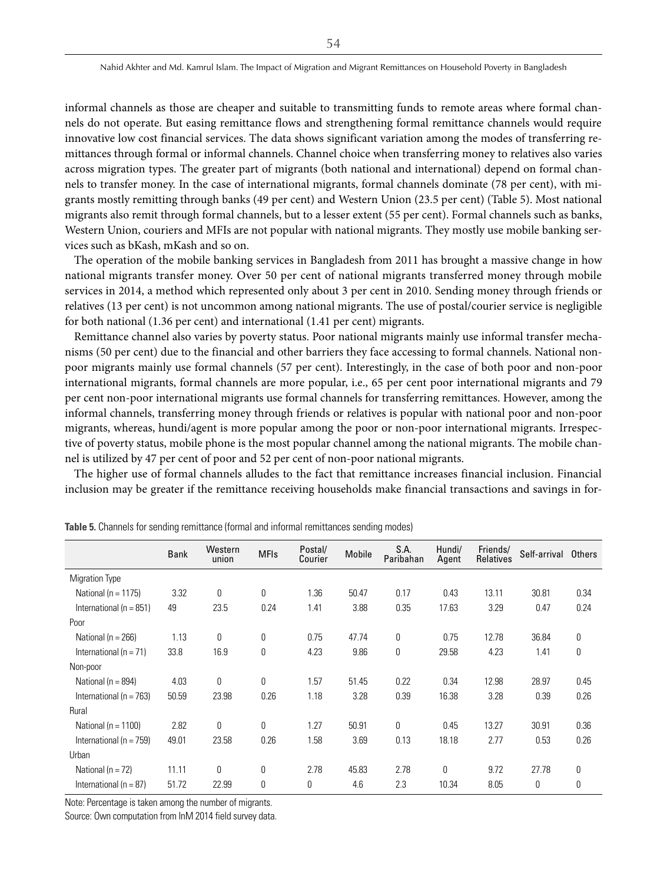informal channels as those are cheaper and suitable to transmitting funds to remote areas where formal channels do not operate. But easing remittance flows and strengthening formal remittance channels would require innovative low cost financial services. The data shows significant variation among the modes of transferring remittances through formal or informal channels. Channel choice when transferring money to relatives also varies across migration types. The greater part of migrants (both national and international) depend on formal channels to transfer money. In the case of international migrants, formal channels dominate (78 per cent), with migrants mostly remitting through banks (49 per cent) and Western Union (23.5 per cent) (Table 5). Most national migrants also remit through formal channels, but to a lesser extent (55 per cent). Formal channels such as banks, Western Union, couriers and MFIs are not popular with national migrants. They mostly use mobile banking services such as bKash, mKash and so on.

The operation of the mobile banking services in Bangladesh from 2011 has brought a massive change in how national migrants transfer money. Over 50 per cent of national migrants transferred money through mobile services in 2014, a method which represented only about 3 per cent in 2010. Sending money through friends or relatives (13 per cent) is not uncommon among national migrants. The use of postal/courier service is negligible for both national (1.36 per cent) and international (1.41 per cent) migrants.

Remittance channel also varies by poverty status. Poor national migrants mainly use informal transfer mechanisms (50 per cent) due to the financial and other barriers they face accessing to formal channels. National nonpoor migrants mainly use formal channels (57 per cent). Interestingly, in the case of both poor and non-poor international migrants, formal channels are more popular, i.e., 65 per cent poor international migrants and 79 per cent non-poor international migrants use formal channels for transferring remittances. However, among the informal channels, transferring money through friends or relatives is popular with national poor and non-poor migrants, whereas, hundi/agent is more popular among the poor or non-poor international migrants. Irrespective of poverty status, mobile phone is the most popular channel among the national migrants. The mobile channel is utilized by 47 per cent of poor and 52 per cent of non-poor national migrants.

The higher use of formal channels alludes to the fact that remittance increases financial inclusion. Financial inclusion may be greater if the remittance receiving households make financial transactions and savings in for-

|                             | <b>Bank</b> | Western<br>union | <b>MFIs</b>  | Postal/<br>Courier | <b>Mobile</b> | S.A.<br>Paribahan | Hundi/<br>Agent | Friends/<br>Relatives | Self-arrival Others |              |
|-----------------------------|-------------|------------------|--------------|--------------------|---------------|-------------------|-----------------|-----------------------|---------------------|--------------|
| <b>Migration Type</b>       |             |                  |              |                    |               |                   |                 |                       |                     |              |
| National ( $n = 1175$ )     | 3.32        | $\mathbf 0$      | $\mathbf{0}$ | 1.36               | 50.47         | 0.17              | 0.43            | 13.11                 | 30.81               | 0.34         |
| International ( $n = 851$ ) | 49          | 23.5             | 0.24         | 1.41               | 3.88          | 0.35              | 17.63           | 3.29                  | 0.47                | 0.24         |
| Poor                        |             |                  |              |                    |               |                   |                 |                       |                     |              |
| National ( $n = 266$ )      | 1.13        | 0                | 0            | 0.75               | 47.74         | 0                 | 0.75            | 12.78                 | 36.84               | 0            |
| International ( $n = 71$ )  | 33.8        | 16.9             | $\mathbf{0}$ | 4.23               | 9.86          | $\pmb{0}$         | 29.58           | 4.23                  | 1.41                | 0            |
| Non-poor                    |             |                  |              |                    |               |                   |                 |                       |                     |              |
| National ( $n = 894$ )      | 4.03        | 0                | 0            | 1.57               | 51.45         | 0.22              | 0.34            | 12.98                 | 28.97               | 0.45         |
| International ( $n = 763$ ) | 50.59       | 23.98            | 0.26         | 1.18               | 3.28          | 0.39              | 16.38           | 3.28                  | 0.39                | 0.26         |
| Rural                       |             |                  |              |                    |               |                   |                 |                       |                     |              |
| National ( $n = 1100$ )     | 2.82        | $\theta$         | 0            | 1.27               | 50.91         | 0                 | 0.45            | 13.27                 | 30.91               | 0.36         |
| International ( $n = 759$ ) | 49.01       | 23.58            | 0.26         | 1.58               | 3.69          | 0.13              | 18.18           | 2.77                  | 0.53                | 0.26         |
| Urban                       |             |                  |              |                    |               |                   |                 |                       |                     |              |
| National ( $n = 72$ )       | 11.11       | 0                | $\mathbf{0}$ | 2.78               | 45.83         | 2.78              | 0               | 9.72                  | 27.78               | $\mathbf{0}$ |
| International ( $n = 87$ )  | 51.72       | 22.99            | 0            | 0                  | 4.6           | 2.3               | 10.34           | 8.05                  | $\mathbf 0$         | 0            |

**Table 5.** Channels for sending remittance (formal and informal remittances sending modes)

Note: Percentage is taken among the number of migrants.

Source: Own computation from InM 2014 field survey data.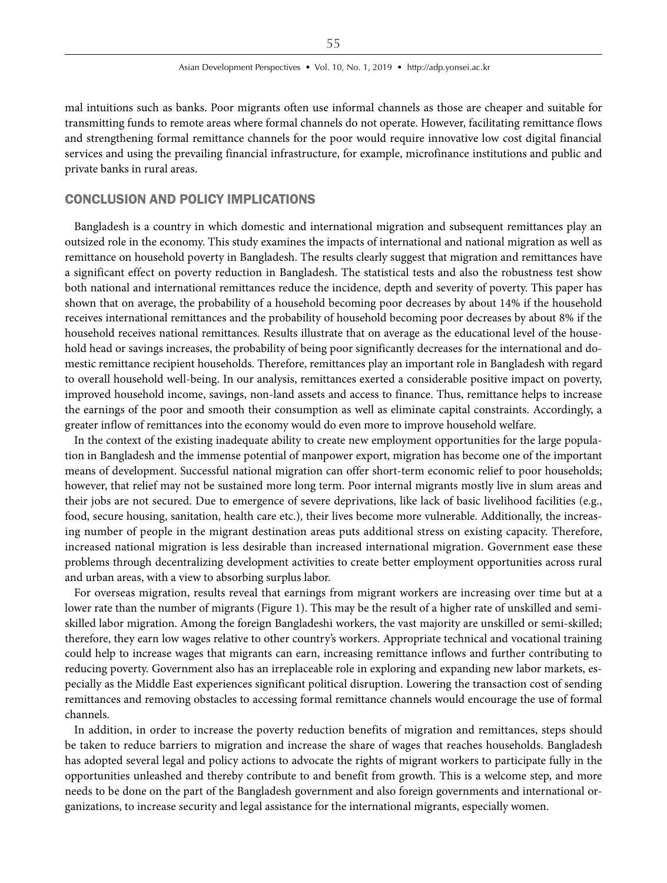mal intuitions such as banks. Poor migrants often use informal channels as those are cheaper and suitable for transmitting funds to remote areas where formal channels do not operate. However, facilitating remittance flows and strengthening formal remittance channels for the poor would require innovative low cost digital financial services and using the prevailing financial infrastructure, for example, microfinance institutions and public and private banks in rural areas.

### CONCLUSION AND POLICY IMPLICATIONS

Bangladesh is a country in which domestic and international migration and subsequent remittances play an outsized role in the economy. This study examines the impacts of international and national migration as well as remittance on household poverty in Bangladesh. The results clearly suggest that migration and remittances have a significant effect on poverty reduction in Bangladesh. The statistical tests and also the robustness test show both national and international remittances reduce the incidence, depth and severity of poverty. This paper has shown that on average, the probability of a household becoming poor decreases by about 14% if the household receives international remittances and the probability of household becoming poor decreases by about 8% if the household receives national remittances. Results illustrate that on average as the educational level of the household head or savings increases, the probability of being poor significantly decreases for the international and domestic remittance recipient households. Therefore, remittances play an important role in Bangladesh with regard to overall household well-being. In our analysis, remittances exerted a considerable positive impact on poverty, improved household income, savings, non-land assets and access to finance. Thus, remittance helps to increase the earnings of the poor and smooth their consumption as well as eliminate capital constraints. Accordingly, a greater inflow of remittances into the economy would do even more to improve household welfare.

In the context of the existing inadequate ability to create new employment opportunities for the large population in Bangladesh and the immense potential of manpower export, migration has become one of the important means of development. Successful national migration can offer short-term economic relief to poor households; however, that relief may not be sustained more long term. Poor internal migrants mostly live in slum areas and their jobs are not secured. Due to emergence of severe deprivations, like lack of basic livelihood facilities (e.g., food, secure housing, sanitation, health care etc.), their lives become more vulnerable. Additionally, the increasing number of people in the migrant destination areas puts additional stress on existing capacity. Therefore, increased national migration is less desirable than increased international migration. Government ease these problems through decentralizing development activities to create better employment opportunities across rural and urban areas, with a view to absorbing surplus labor.

For overseas migration, results reveal that earnings from migrant workers are increasing over time but at a lower rate than the number of migrants (Figure 1). This may be the result of a higher rate of unskilled and semiskilled labor migration. Among the foreign Bangladeshi workers, the vast majority are unskilled or semi-skilled; therefore, they earn low wages relative to other country's workers. Appropriate technical and vocational training could help to increase wages that migrants can earn, increasing remittance inflows and further contributing to reducing poverty. Government also has an irreplaceable role in exploring and expanding new labor markets, especially as the Middle East experiences significant political disruption. Lowering the transaction cost of sending remittances and removing obstacles to accessing formal remittance channels would encourage the use of formal channels.

In addition, in order to increase the poverty reduction benefits of migration and remittances, steps should be taken to reduce barriers to migration and increase the share of wages that reaches households. Bangladesh has adopted several legal and policy actions to advocate the rights of migrant workers to participate fully in the opportunities unleashed and thereby contribute to and benefit from growth. This is a welcome step, and more needs to be done on the part of the Bangladesh government and also foreign governments and international organizations, to increase security and legal assistance for the international migrants, especially women.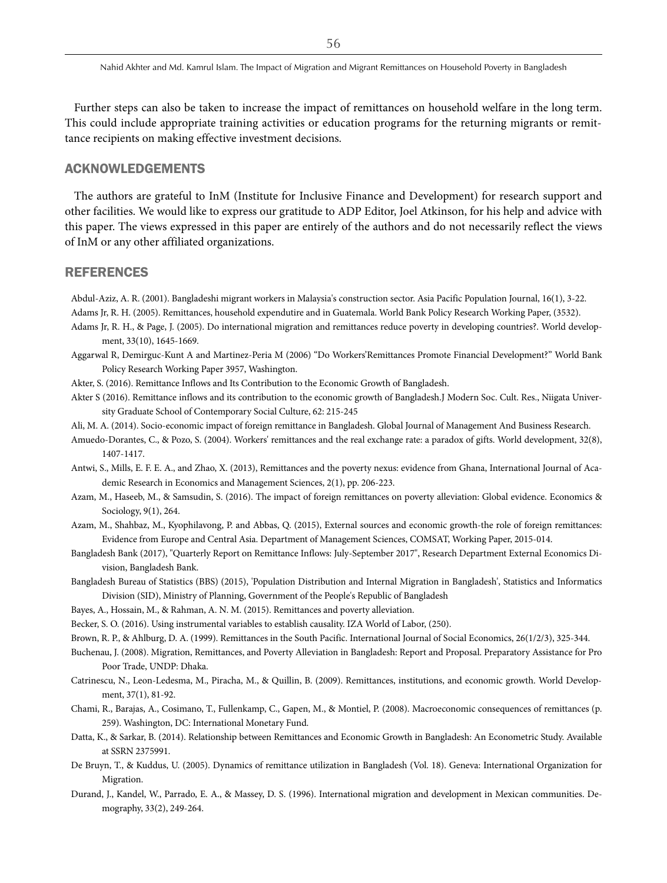Further steps can also be taken to increase the impact of remittances on household welfare in the long term. This could include appropriate training activities or education programs for the returning migrants or remittance recipients on making effective investment decisions.

## ACKNOWLEDGEMENTS

The authors are grateful to InM (Institute for Inclusive Finance and Development) for research support and other facilities. We would like to express our gratitude to ADP Editor, Joel Atkinson, for his help and advice with this paper. The views expressed in this paper are entirely of the authors and do not necessarily reflect the views of InM or any other affiliated organizations.

## REFERENCES

Abdul-Aziz, A. R. (2001). Bangladeshi migrant workers in Malaysia's construction sector. Asia Pacific Population Journal, 16(1), 3-22.

- Adams Jr, R. H. (2005). Remittances, household expendutire and in Guatemala. World Bank Policy Research Working Paper, (3532).
- Adams Jr, R. H., & Page, J. (2005). Do international migration and remittances reduce poverty in developing countries?. World development, 33(10), 1645-1669.
- Aggarwal R, Demirguc-Kunt A and Martinez-Peria M (2006) "Do Workers'Remittances Promote Financial Development?" World Bank Policy Research Working Paper 3957, Washington.
- Akter, S. (2016). Remittance Inflows and Its Contribution to the Economic Growth of Bangladesh.
- Akter S (2016). Remittance inflows and its contribution to the economic growth of Bangladesh.J Modern Soc. Cult. Res., Niigata University Graduate School of Contemporary Social Culture, 62: 215-245
- Ali, M. A. (2014). Socio-economic impact of foreign remittance in Bangladesh. Global Journal of Management And Business Research.
- Amuedo-Dorantes, C., & Pozo, S. (2004). Workers' remittances and the real exchange rate: a paradox of gifts. World development, 32(8), 1407-1417.
- Antwi, S., Mills, E. F. E. A., and Zhao, X. (2013), Remittances and the poverty nexus: evidence from Ghana, International Journal of Academic Research in Economics and Management Sciences, 2(1), pp. 206-223.
- Azam, M., Haseeb, M., & Samsudin, S. (2016). The impact of foreign remittances on poverty alleviation: Global evidence. Economics & Sociology, 9(1), 264.
- Azam, M., Shahbaz, M., Kyophilavong, P. and Abbas, Q. (2015), External sources and economic growth-the role of foreign remittances: Evidence from Europe and Central Asia. Department of Management Sciences, COMSAT, Working Paper, 2015-014.
- Bangladesh Bank (2017), "Quarterly Report on Remittance Inflows: July-September 2017", Research Department External Economics Division, Bangladesh Bank.
- Bangladesh Bureau of Statistics (BBS) (2015), 'Population Distribution and Internal Migration in Bangladesh', Statistics and Informatics Division (SID), Ministry of Planning, Government of the People's Republic of Bangladesh
- Bayes, A., Hossain, M., & Rahman, A. N. M. (2015). Remittances and poverty alleviation.
- Becker, S. O. (2016). Using instrumental variables to establish causality. IZA World of Labor, (250).
- Brown, R. P., & Ahlburg, D. A. (1999). Remittances in the South Pacific. International Journal of Social Economics, 26(1/2/3), 325-344.
- Buchenau, J. (2008). Migration, Remittances, and Poverty Alleviation in Bangladesh: Report and Proposal. Preparatory Assistance for Pro Poor Trade, UNDP: Dhaka.
- Catrinescu, N., Leon-Ledesma, M., Piracha, M., & Quillin, B. (2009). Remittances, institutions, and economic growth. World Development, 37(1), 81-92.
- Chami, R., Barajas, A., Cosimano, T., Fullenkamp, C., Gapen, M., & Montiel, P. (2008). Macroeconomic consequences of remittances (p. 259). Washington, DC: International Monetary Fund.
- Datta, K., & Sarkar, B. (2014). Relationship between Remittances and Economic Growth in Bangladesh: An Econometric Study. Available at SSRN 2375991.
- De Bruyn, T., & Kuddus, U. (2005). Dynamics of remittance utilization in Bangladesh (Vol. 18). Geneva: International Organization for Migration.
- Durand, J., Kandel, W., Parrado, E. A., & Massey, D. S. (1996). International migration and development in Mexican communities. Demography, 33(2), 249-264.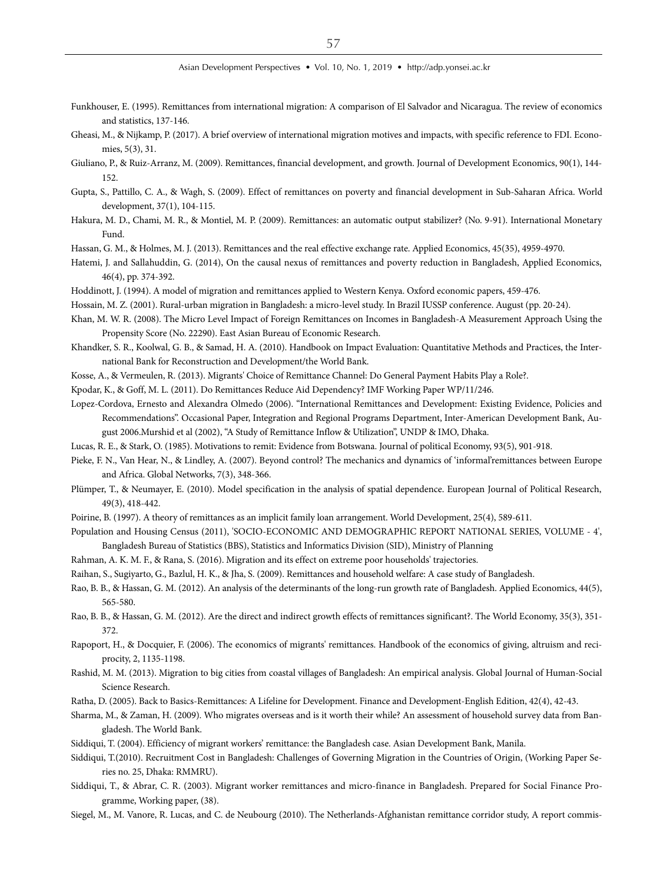- Funkhouser, E. (1995). Remittances from international migration: A comparison of El Salvador and Nicaragua. The review of economics and statistics, 137-146.
- Gheasi, M., & Nijkamp, P. (2017). A brief overview of international migration motives and impacts, with specific reference to FDI. Economies, 5(3), 31.
- Giuliano, P., & Ruiz-Arranz, M. (2009). Remittances, financial development, and growth. Journal of Development Economics, 90(1), 144- 152.
- Gupta, S., Pattillo, C. A., & Wagh, S. (2009). Effect of remittances on poverty and financial development in Sub-Saharan Africa. World development, 37(1), 104-115.
- Hakura, M. D., Chami, M. R., & Montiel, M. P. (2009). Remittances: an automatic output stabilizer? (No. 9-91). International Monetary Fund.
- Hassan, G. M., & Holmes, M. J. (2013). Remittances and the real effective exchange rate. Applied Economics, 45(35), 4959-4970.

Hatemi, J. and Sallahuddin, G. (2014), On the causal nexus of remittances and poverty reduction in Bangladesh, Applied Economics, 46(4), pp. 374-392.

- Hoddinott, J. (1994). A model of migration and remittances applied to Western Kenya. Oxford economic papers, 459-476.
- Hossain, M. Z. (2001). Rural-urban migration in Bangladesh: a micro-level study. In Brazil IUSSP conference. August (pp. 20-24).
- Khan, M. W. R. (2008). The Micro Level Impact of Foreign Remittances on Incomes in Bangladesh-A Measurement Approach Using the Propensity Score (No. 22290). East Asian Bureau of Economic Research.
- Khandker, S. R., Koolwal, G. B., & Samad, H. A. (2010). Handbook on Impact Evaluation: Quantitative Methods and Practices, the International Bank for Reconstruction and Development/the World Bank.
- Kosse, A., & Vermeulen, R. (2013). Migrants' Choice of Remittance Channel: Do General Payment Habits Play a Role?.
- Kpodar, K., & Goff, M. L. (2011). Do Remittances Reduce Aid Dependency? IMF Working Paper WP/11/246.
- Lopez-Cordova, Ernesto and Alexandra Olmedo (2006). "International Remittances and Development: Existing Evidence, Policies and Recommendations". Occasional Paper, Integration and Regional Programs Department, Inter-American Development Bank, August 2006.Murshid et al (2002), "A Study of Remittance Inflow & Utilization", UNDP & IMO, Dhaka.
- Lucas, R. E., & Stark, O. (1985). Motivations to remit: Evidence from Botswana. Journal of political Economy, 93(5), 901-918.
- Pieke, F. N., Van Hear, N., & Lindley, A. (2007). Beyond control? The mechanics and dynamics of 'informal'remittances between Europe and Africa. Global Networks, 7(3), 348-366.
- Plümper, T., & Neumayer, E. (2010). Model specification in the analysis of spatial dependence. European Journal of Political Research, 49(3), 418-442.
- Poirine, B. (1997). A theory of remittances as an implicit family loan arrangement. World Development, 25(4), 589-611.
- Population and Housing Census (2011), 'SOCIO-ECONOMIC AND DEMOGRAPHIC REPORT NATIONAL SERIES, VOLUME 4', Bangladesh Bureau of Statistics (BBS), Statistics and Informatics Division (SID), Ministry of Planning
- Rahman, A. K. M. F., & Rana, S. (2016). Migration and its effect on extreme poor households' trajectories.
- Raihan, S., Sugiyarto, G., Bazlul, H. K., & Jha, S. (2009). Remittances and household welfare: A case study of Bangladesh.
- Rao, B. B., & Hassan, G. M. (2012). An analysis of the determinants of the long-run growth rate of Bangladesh. Applied Economics, 44(5), 565-580.
- Rao, B. B., & Hassan, G. M. (2012). Are the direct and indirect growth effects of remittances significant?. The World Economy, 35(3), 351- 372.
- Rapoport, H., & Docquier, F. (2006). The economics of migrants' remittances. Handbook of the economics of giving, altruism and reciprocity, 2, 1135-1198.
- Rashid, M. M. (2013). Migration to big cities from coastal villages of Bangladesh: An empirical analysis. Global Journal of Human-Social Science Research.
- Ratha, D. (2005). Back to Basics-Remittances: A Lifeline for Development. Finance and Development-English Edition, 42(4), 42-43.
- Sharma, M., & Zaman, H. (2009). Who migrates overseas and is it worth their while? An assessment of household survey data from Bangladesh. The World Bank.
- Siddiqui, T. (2004). Efficiency of migrant workers' remittance: the Bangladesh case. Asian Development Bank, Manila.
- Siddiqui, T.(2010). Recruitment Cost in Bangladesh: Challenges of Governing Migration in the Countries of Origin, (Working Paper Series no. 25, Dhaka: RMMRU).
- Siddiqui, T., & Abrar, C. R. (2003). Migrant worker remittances and micro-finance in Bangladesh. Prepared for Social Finance Programme, Working paper, (38).
- Siegel, M., M. Vanore, R. Lucas, and C. de Neubourg (2010). The Netherlands-Afghanistan remittance corridor study, A report commis-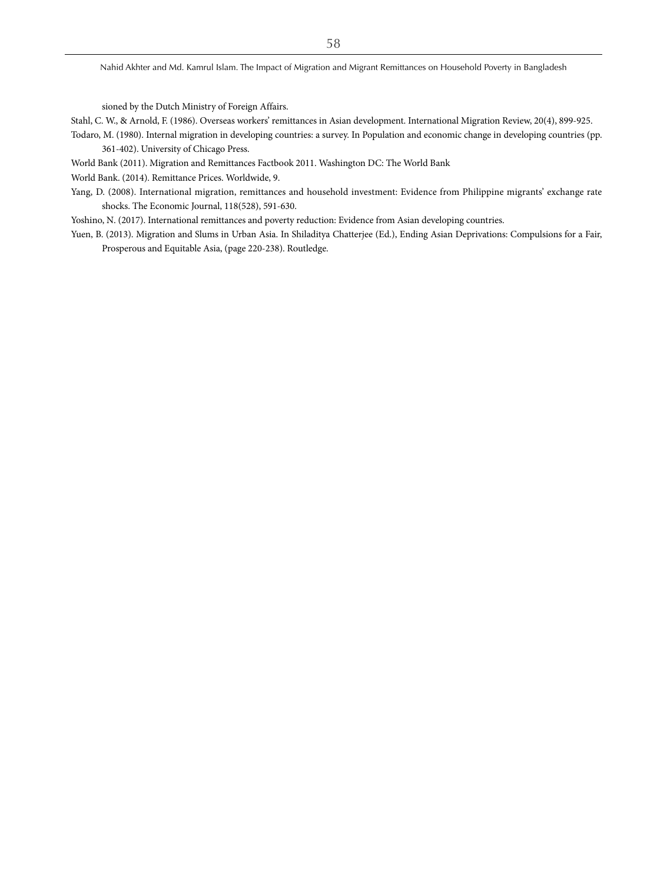sioned by the Dutch Ministry of Foreign Affairs.

- Stahl, C. W., & Arnold, F. (1986). Overseas workers' remittances in Asian development. International Migration Review, 20(4), 899-925.
- Todaro, M. (1980). Internal migration in developing countries: a survey. In Population and economic change in developing countries (pp. 361-402). University of Chicago Press.
- World Bank (2011). Migration and Remittances Factbook 2011. Washington DC: The World Bank

World Bank. (2014). Remittance Prices. Worldwide, 9.

Yang, D. (2008). International migration, remittances and household investment: Evidence from Philippine migrants' exchange rate shocks. The Economic Journal, 118(528), 591-630.

Yoshino, N. (2017). International remittances and poverty reduction: Evidence from Asian developing countries.

Yuen, B. (2013). Migration and Slums in Urban Asia. In Shiladitya Chatterjee (Ed.), Ending Asian Deprivations: Compulsions for a Fair, Prosperous and Equitable Asia, (page 220-238). Routledge.